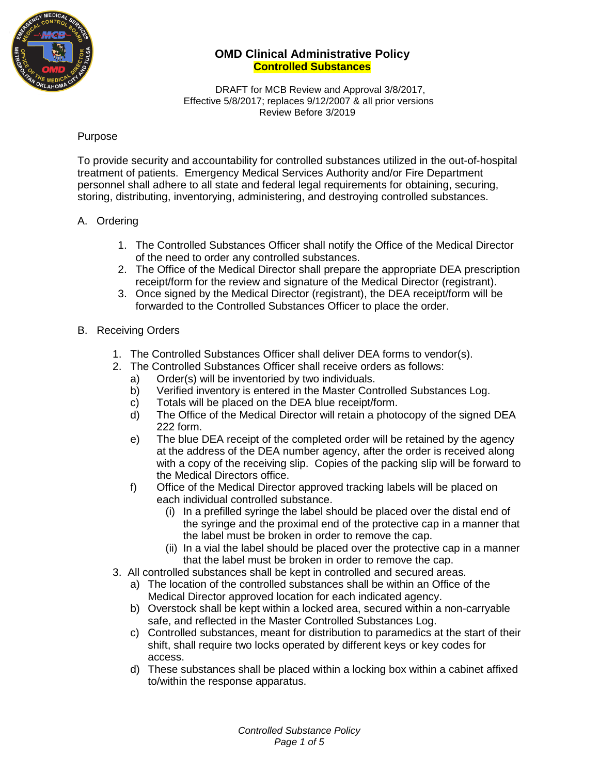

 DRAFT for MCB Review and Approval 3/8/2017, Effective 5/8/2017; replaces 9/12/2007 & all prior versions Review Before 3/2019

### Purpose

To provide security and accountability for controlled substances utilized in the out-of-hospital treatment of patients. Emergency Medical Services Authority and/or Fire Department personnel shall adhere to all state and federal legal requirements for obtaining, securing, storing, distributing, inventorying, administering, and destroying controlled substances.

#### A. Ordering

- 1. The Controlled Substances Officer shall notify the Office of the Medical Director of the need to order any controlled substances.
- 2. The Office of the Medical Director shall prepare the appropriate DEA prescription receipt/form for the review and signature of the Medical Director (registrant).
- 3. Once signed by the Medical Director (registrant), the DEA receipt/form will be forwarded to the Controlled Substances Officer to place the order.

#### B. Receiving Orders

- 1. The Controlled Substances Officer shall deliver DEA forms to vendor(s).
- 2. The Controlled Substances Officer shall receive orders as follows:
	- a) Order(s) will be inventoried by two individuals.
	- b) Verified inventory is entered in the Master Controlled Substances Log.
	- c) Totals will be placed on the DEA blue receipt/form.
	- d) The Office of the Medical Director will retain a photocopy of the signed DEA 222 form.
	- e) The blue DEA receipt of the completed order will be retained by the agency at the address of the DEA number agency, after the order is received along with a copy of the receiving slip. Copies of the packing slip will be forward to the Medical Directors office.
	- f) Office of the Medical Director approved tracking labels will be placed on each individual controlled substance.
		- (i) In a prefilled syringe the label should be placed over the distal end of the syringe and the proximal end of the protective cap in a manner that the label must be broken in order to remove the cap.
		- (ii) In a vial the label should be placed over the protective cap in a manner that the label must be broken in order to remove the cap.
- 3. All controlled substances shall be kept in controlled and secured areas.
	- a) The location of the controlled substances shall be within an Office of the Medical Director approved location for each indicated agency.
	- b) Overstock shall be kept within a locked area, secured within a non-carryable safe, and reflected in the Master Controlled Substances Log.
	- c) Controlled substances, meant for distribution to paramedics at the start of their shift, shall require two locks operated by different keys or key codes for access.
	- d) These substances shall be placed within a locking box within a cabinet affixed to/within the response apparatus.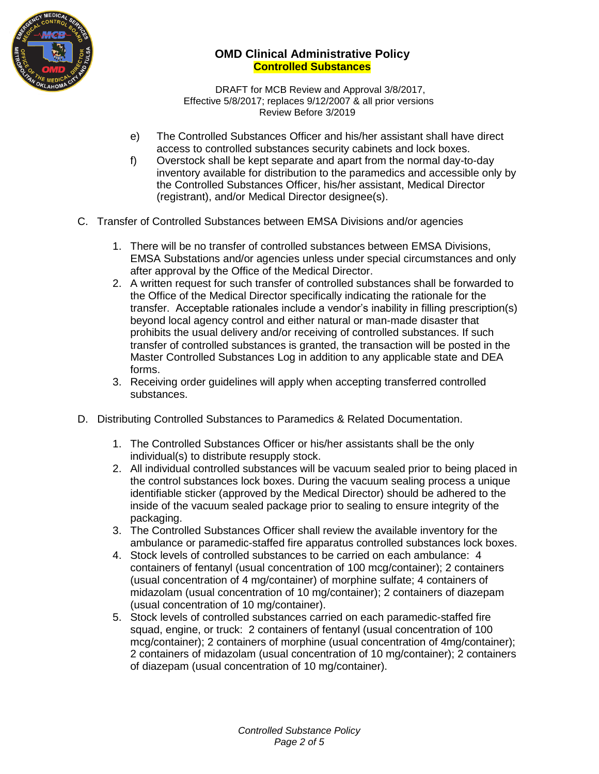

 DRAFT for MCB Review and Approval 3/8/2017, Effective 5/8/2017; replaces 9/12/2007 & all prior versions Review Before 3/2019

- e) The Controlled Substances Officer and his/her assistant shall have direct access to controlled substances security cabinets and lock boxes.
- f) Overstock shall be kept separate and apart from the normal day-to-day inventory available for distribution to the paramedics and accessible only by the Controlled Substances Officer, his/her assistant, Medical Director (registrant), and/or Medical Director designee(s).
- C. Transfer of Controlled Substances between EMSA Divisions and/or agencies
	- 1. There will be no transfer of controlled substances between EMSA Divisions, EMSA Substations and/or agencies unless under special circumstances and only after approval by the Office of the Medical Director.
	- 2. A written request for such transfer of controlled substances shall be forwarded to the Office of the Medical Director specifically indicating the rationale for the transfer. Acceptable rationales include a vendor's inability in filling prescription(s) beyond local agency control and either natural or man-made disaster that prohibits the usual delivery and/or receiving of controlled substances. If such transfer of controlled substances is granted, the transaction will be posted in the Master Controlled Substances Log in addition to any applicable state and DEA forms.
	- 3. Receiving order guidelines will apply when accepting transferred controlled substances.
- D. Distributing Controlled Substances to Paramedics & Related Documentation.
	- 1. The Controlled Substances Officer or his/her assistants shall be the only individual(s) to distribute resupply stock.
	- 2. All individual controlled substances will be vacuum sealed prior to being placed in the control substances lock boxes. During the vacuum sealing process a unique identifiable sticker (approved by the Medical Director) should be adhered to the inside of the vacuum sealed package prior to sealing to ensure integrity of the packaging.
	- 3. The Controlled Substances Officer shall review the available inventory for the ambulance or paramedic-staffed fire apparatus controlled substances lock boxes.
	- 4. Stock levels of controlled substances to be carried on each ambulance: 4 containers of fentanyl (usual concentration of 100 mcg/container); 2 containers (usual concentration of 4 mg/container) of morphine sulfate; 4 containers of midazolam (usual concentration of 10 mg/container); 2 containers of diazepam (usual concentration of 10 mg/container).
	- 5. Stock levels of controlled substances carried on each paramedic-staffed fire squad, engine, or truck: 2 containers of fentanyl (usual concentration of 100 mcg/container); 2 containers of morphine (usual concentration of 4mg/container); 2 containers of midazolam (usual concentration of 10 mg/container); 2 containers of diazepam (usual concentration of 10 mg/container).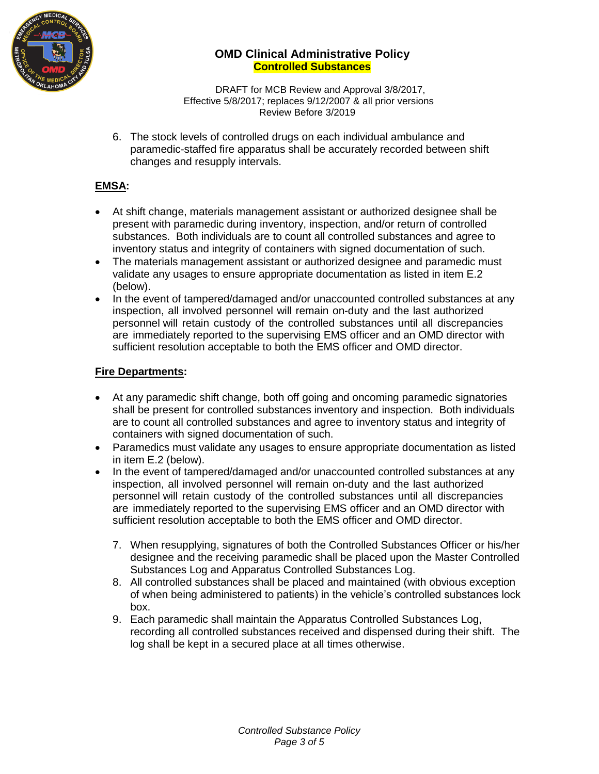

 DRAFT for MCB Review and Approval 3/8/2017, Effective 5/8/2017; replaces 9/12/2007 & all prior versions Review Before 3/2019

6. The stock levels of controlled drugs on each individual ambulance and paramedic-staffed fire apparatus shall be accurately recorded between shift changes and resupply intervals.

# **EMSA:**

- At shift change, materials management assistant or authorized designee shall be present with paramedic during inventory, inspection, and/or return of controlled substances. Both individuals are to count all controlled substances and agree to inventory status and integrity of containers with signed documentation of such.
- The materials management assistant or authorized designee and paramedic must validate any usages to ensure appropriate documentation as listed in item E.2 (below).
- In the event of tampered/damaged and/or unaccounted controlled substances at any inspection, all involved personnel will remain on-duty and the last authorized personnel will retain custody of the controlled substances until all discrepancies are immediately reported to the supervising EMS officer and an OMD director with sufficient resolution acceptable to both the EMS officer and OMD director.

## **Fire Departments:**

- At any paramedic shift change, both off going and oncoming paramedic signatories shall be present for controlled substances inventory and inspection. Both individuals are to count all controlled substances and agree to inventory status and integrity of containers with signed documentation of such.
- Paramedics must validate any usages to ensure appropriate documentation as listed in item E.2 (below).
- In the event of tampered/damaged and/or unaccounted controlled substances at any inspection, all involved personnel will remain on-duty and the last authorized personnel will retain custody of the controlled substances until all discrepancies are immediately reported to the supervising EMS officer and an OMD director with sufficient resolution acceptable to both the EMS officer and OMD director.
	- 7. When resupplying, signatures of both the Controlled Substances Officer or his/her designee and the receiving paramedic shall be placed upon the Master Controlled Substances Log and Apparatus Controlled Substances Log.
	- 8. All controlled substances shall be placed and maintained (with obvious exception of when being administered to patients) in the vehicle's controlled substances lock box.
	- 9. Each paramedic shall maintain the Apparatus Controlled Substances Log, recording all controlled substances received and dispensed during their shift. The log shall be kept in a secured place at all times otherwise.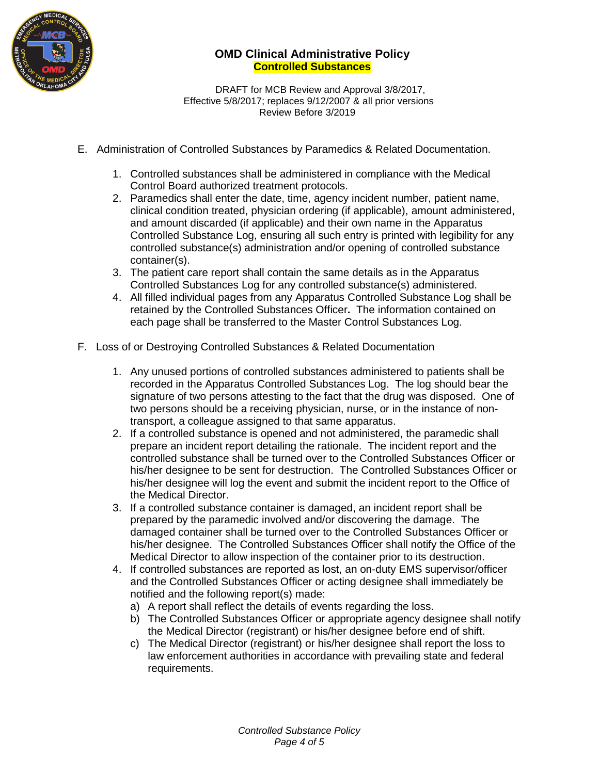

 DRAFT for MCB Review and Approval 3/8/2017, Effective 5/8/2017; replaces 9/12/2007 & all prior versions Review Before 3/2019

- E. Administration of Controlled Substances by Paramedics & Related Documentation.
	- 1. Controlled substances shall be administered in compliance with the Medical Control Board authorized treatment protocols.
	- 2. Paramedics shall enter the date, time, agency incident number, patient name, clinical condition treated, physician ordering (if applicable), amount administered, and amount discarded (if applicable) and their own name in the Apparatus Controlled Substance Log, ensuring all such entry is printed with legibility for any controlled substance(s) administration and/or opening of controlled substance container(s).
	- 3. The patient care report shall contain the same details as in the Apparatus Controlled Substances Log for any controlled substance(s) administered.
	- 4. All filled individual pages from any Apparatus Controlled Substance Log shall be retained by the Controlled Substances Officer**.** The information contained on each page shall be transferred to the Master Control Substances Log.
- F. Loss of or Destroying Controlled Substances & Related Documentation
	- 1. Any unused portions of controlled substances administered to patients shall be recorded in the Apparatus Controlled Substances Log. The log should bear the signature of two persons attesting to the fact that the drug was disposed. One of two persons should be a receiving physician, nurse, or in the instance of nontransport, a colleague assigned to that same apparatus.
	- 2. If a controlled substance is opened and not administered, the paramedic shall prepare an incident report detailing the rationale. The incident report and the controlled substance shall be turned over to the Controlled Substances Officer or his/her designee to be sent for destruction. The Controlled Substances Officer or his/her designee will log the event and submit the incident report to the Office of the Medical Director.
	- 3. If a controlled substance container is damaged, an incident report shall be prepared by the paramedic involved and/or discovering the damage. The damaged container shall be turned over to the Controlled Substances Officer or his/her designee. The Controlled Substances Officer shall notify the Office of the Medical Director to allow inspection of the container prior to its destruction.
	- 4. If controlled substances are reported as lost, an on-duty EMS supervisor/officer and the Controlled Substances Officer or acting designee shall immediately be notified and the following report(s) made:
		- a) A report shall reflect the details of events regarding the loss.
		- b) The Controlled Substances Officer or appropriate agency designee shall notify the Medical Director (registrant) or his/her designee before end of shift.
		- c) The Medical Director (registrant) or his/her designee shall report the loss to law enforcement authorities in accordance with prevailing state and federal requirements.